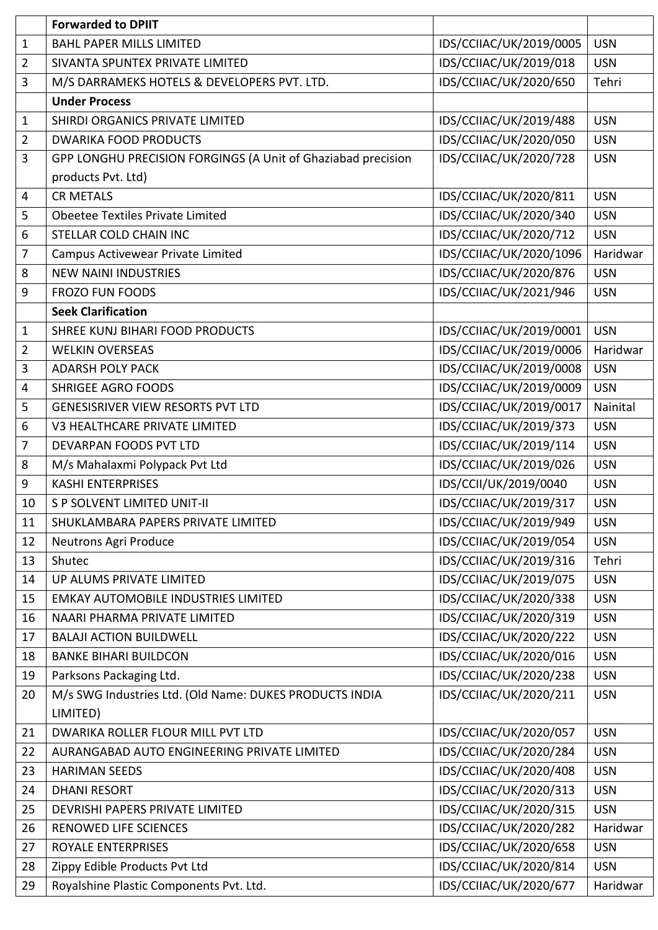|                | <b>Forwarded to DPIIT</b>                                    |                         |            |
|----------------|--------------------------------------------------------------|-------------------------|------------|
| $\mathbf{1}$   | <b>BAHL PAPER MILLS LIMITED</b>                              | IDS/CCIIAC/UK/2019/0005 | <b>USN</b> |
| $\overline{2}$ | SIVANTA SPUNTEX PRIVATE LIMITED                              | IDS/CCIIAC/UK/2019/018  | <b>USN</b> |
| 3              | M/S DARRAMEKS HOTELS & DEVELOPERS PVT. LTD.                  | IDS/CCIIAC/UK/2020/650  | Tehri      |
|                | <b>Under Process</b>                                         |                         |            |
| $\mathbf{1}$   | SHIRDI ORGANICS PRIVATE LIMITED                              | IDS/CCIIAC/UK/2019/488  | <b>USN</b> |
| $\overline{2}$ | <b>DWARIKA FOOD PRODUCTS</b>                                 | IDS/CCIIAC/UK/2020/050  | <b>USN</b> |
| 3              | GPP LONGHU PRECISION FORGINGS (A Unit of Ghaziabad precision | IDS/CCIIAC/UK/2020/728  | <b>USN</b> |
|                | products Pvt. Ltd)                                           |                         |            |
| 4              | <b>CR METALS</b>                                             | IDS/CCIIAC/UK/2020/811  | <b>USN</b> |
| 5              | Obeetee Textiles Private Limited                             | IDS/CCIIAC/UK/2020/340  | <b>USN</b> |
| 6              | STELLAR COLD CHAIN INC                                       | IDS/CCIIAC/UK/2020/712  | <b>USN</b> |
| 7              | Campus Activewear Private Limited                            | IDS/CCIIAC/UK/2020/1096 | Haridwar   |
| 8              | <b>NEW NAINI INDUSTRIES</b>                                  | IDS/CCIIAC/UK/2020/876  | <b>USN</b> |
| 9              | <b>FROZO FUN FOODS</b>                                       | IDS/CCIIAC/UK/2021/946  | <b>USN</b> |
|                | <b>Seek Clarification</b>                                    |                         |            |
| $\mathbf{1}$   | SHREE KUNJ BIHARI FOOD PRODUCTS                              | IDS/CCIIAC/UK/2019/0001 | <b>USN</b> |
| $\overline{2}$ | <b>WELKIN OVERSEAS</b>                                       | IDS/CCIIAC/UK/2019/0006 | Haridwar   |
| 3              | <b>ADARSH POLY PACK</b>                                      | IDS/CCIIAC/UK/2019/0008 | <b>USN</b> |
| 4              | <b>SHRIGEE AGRO FOODS</b>                                    | IDS/CCIIAC/UK/2019/0009 | <b>USN</b> |
| 5              | <b>GENESISRIVER VIEW RESORTS PVT LTD</b>                     | IDS/CCIIAC/UK/2019/0017 | Nainital   |
| 6              | V3 HEALTHCARE PRIVATE LIMITED                                | IDS/CCIIAC/UK/2019/373  | <b>USN</b> |
| $\overline{7}$ | DEVARPAN FOODS PVT LTD                                       | IDS/CCIIAC/UK/2019/114  | <b>USN</b> |
| 8              | M/s Mahalaxmi Polypack Pvt Ltd                               | IDS/CCIIAC/UK/2019/026  | <b>USN</b> |
| 9              | <b>KASHI ENTERPRISES</b>                                     | IDS/CCII/UK/2019/0040   | <b>USN</b> |
| 10             | S P SOLVENT LIMITED UNIT-II                                  | IDS/CCIIAC/UK/2019/317  | <b>USN</b> |
| 11             | SHUKLAMBARA PAPERS PRIVATE LIMITED                           | IDS/CCIIAC/UK/2019/949  | <b>USN</b> |
| 12             | Neutrons Agri Produce                                        | IDS/CCIIAC/UK/2019/054  | <b>USN</b> |
| 13             | Shutec                                                       | IDS/CCIIAC/UK/2019/316  | Tehri      |
| 14             | UP ALUMS PRIVATE LIMITED                                     | IDS/CCIIAC/UK/2019/075  | <b>USN</b> |
| 15             | <b>EMKAY AUTOMOBILE INDUSTRIES LIMITED</b>                   | IDS/CCIIAC/UK/2020/338  | <b>USN</b> |
| 16             | NAARI PHARMA PRIVATE LIMITED                                 | IDS/CCIIAC/UK/2020/319  | <b>USN</b> |
| 17             | <b>BALAJI ACTION BUILDWELL</b>                               | IDS/CCIIAC/UK/2020/222  | <b>USN</b> |
| 18             | <b>BANKE BIHARI BUILDCON</b>                                 | IDS/CCIIAC/UK/2020/016  | <b>USN</b> |
| 19             | Parksons Packaging Ltd.                                      | IDS/CCIIAC/UK/2020/238  | <b>USN</b> |
| 20             | M/s SWG Industries Ltd. (Old Name: DUKES PRODUCTS INDIA      | IDS/CCIIAC/UK/2020/211  | <b>USN</b> |
|                | LIMITED)                                                     |                         |            |
| 21             | DWARIKA ROLLER FLOUR MILL PVT LTD                            | IDS/CCIIAC/UK/2020/057  | <b>USN</b> |
| 22             | AURANGABAD AUTO ENGINEERING PRIVATE LIMITED                  | IDS/CCIIAC/UK/2020/284  | <b>USN</b> |
| 23             | <b>HARIMAN SEEDS</b>                                         | IDS/CCIIAC/UK/2020/408  | <b>USN</b> |
| 24             | <b>DHANI RESORT</b>                                          | IDS/CCIIAC/UK/2020/313  | <b>USN</b> |
| 25             | DEVRISHI PAPERS PRIVATE LIMITED                              | IDS/CCIIAC/UK/2020/315  | <b>USN</b> |
| 26             | <b>RENOWED LIFE SCIENCES</b>                                 | IDS/CCIIAC/UK/2020/282  | Haridwar   |
| 27             | ROYALE ENTERPRISES                                           | IDS/CCIIAC/UK/2020/658  | <b>USN</b> |
| 28             | Zippy Edible Products Pvt Ltd                                | IDS/CCIIAC/UK/2020/814  | <b>USN</b> |
| 29             | Royalshine Plastic Components Pvt. Ltd.                      | IDS/CCIIAC/UK/2020/677  | Haridwar   |